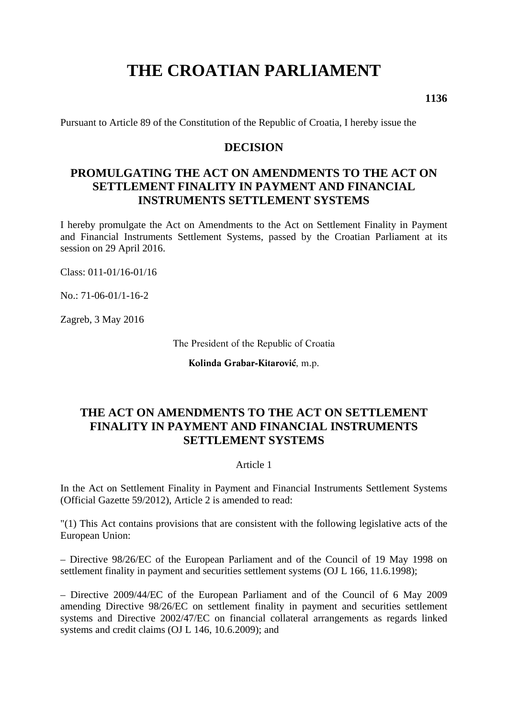# **THE CROATIAN PARLIAMENT**

**1136** 

Pursuant to Article 89 of the Constitution of the Republic of Croatia, I hereby issue the

## **DECISION**

# **PROMULGATING THE ACT ON AMENDMENTS TO THE ACT ON SETTLEMENT FINALITY IN PAYMENT AND FINANCIAL INSTRUMENTS SETTLEMENT SYSTEMS**

I hereby promulgate the Act on Amendments to the Act on Settlement Finality in Payment and Financial Instruments Settlement Systems, passed by the Croatian Parliament at its session on 29 April 2016.

Class: 011-01/16-01/16

No.: 71-06-01/1-16-2

Zagreb, 3 May 2016

The President of the Republic of Croatia

**Kolinda Grabar-Kitarović**, m.p.

# **THE ACT ON AMENDMENTS TO THE ACT ON SETTLEMENT FINALITY IN PAYMENT AND FINANCIAL INSTRUMENTS SETTLEMENT SYSTEMS**

#### Article 1

In the Act on Settlement Finality in Payment and Financial Instruments Settlement Systems (Official Gazette 59/2012), Article 2 is amended to read:

"(1) This Act contains provisions that are consistent with the following legislative acts of the European Union:

– Directive 98/26/EC of the European Parliament and of the Council of 19 May 1998 on settlement finality in payment and securities settlement systems (OJ L 166, 11.6.1998);

– Directive 2009/44/EC of the European Parliament and of the Council of 6 May 2009 amending Directive 98/26/EC on settlement finality in payment and securities settlement systems and Directive 2002/47/EC on financial collateral arrangements as regards linked systems and credit claims (OJ L 146, 10.6.2009); and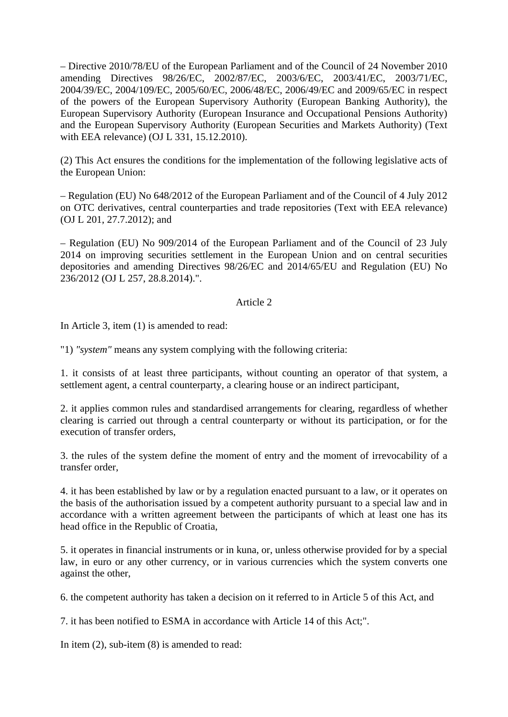– Directive 2010/78/EU of the European Parliament and of the Council of 24 November 2010 amending Directives 98/26/EC, 2002/87/EC, 2003/6/EC, 2003/41/EC, 2003/71/EC, 2004/39/EC, 2004/109/EC, 2005/60/EC, 2006/48/EC, 2006/49/EC and 2009/65/EC in respect of the powers of the European Supervisory Authority (European Banking Authority), the European Supervisory Authority (European Insurance and Occupational Pensions Authority) and the European Supervisory Authority (European Securities and Markets Authority) (Text with EEA relevance) (OJ L 331, 15.12.2010).

(2) This Act ensures the conditions for the implementation of the following legislative acts of the European Union:

– Regulation (EU) No 648/2012 of the European Parliament and of the Council of 4 July 2012 on OTC derivatives, central counterparties and trade repositories (Text with EEA relevance) (OJ L 201, 27.7.2012); and

– Regulation (EU) No 909/2014 of the European Parliament and of the Council of 23 July 2014 on improving securities settlement in the European Union and on central securities depositories and amending Directives 98/26/EC and 2014/65/EU and Regulation (EU) No 236/2012 (OJ L 257, 28.8.2014).".

#### Article 2

In Article 3, item (1) is amended to read:

"1) *"system"* means any system complying with the following criteria:

1. it consists of at least three participants, without counting an operator of that system, a settlement agent, a central counterparty, a clearing house or an indirect participant,

2. it applies common rules and standardised arrangements for clearing, regardless of whether clearing is carried out through a central counterparty or without its participation, or for the execution of transfer orders,

3. the rules of the system define the moment of entry and the moment of irrevocability of a transfer order,

4. it has been established by law or by a regulation enacted pursuant to a law, or it operates on the basis of the authorisation issued by a competent authority pursuant to a special law and in accordance with a written agreement between the participants of which at least one has its head office in the Republic of Croatia,

5. it operates in financial instruments or in kuna, or, unless otherwise provided for by a special law, in euro or any other currency, or in various currencies which the system converts one against the other,

6. the competent authority has taken a decision on it referred to in Article 5 of this Act, and

7. it has been notified to ESMA in accordance with Article 14 of this Act;".

In item (2), sub-item (8) is amended to read: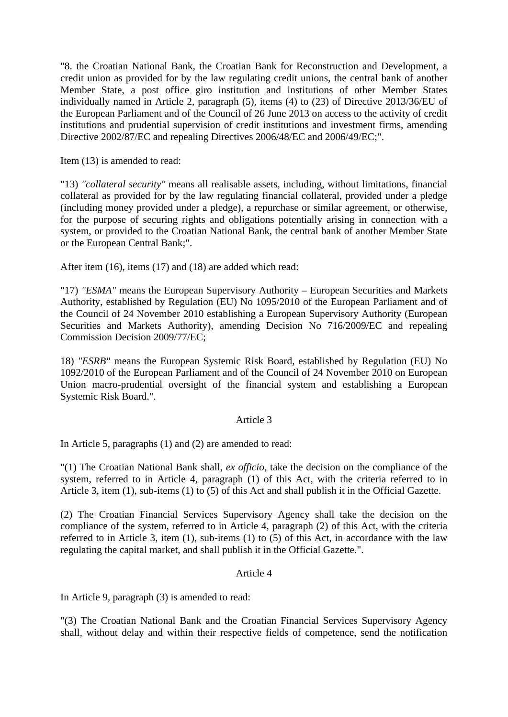"8. the Croatian National Bank, the Croatian Bank for Reconstruction and Development, a credit union as provided for by the law regulating credit unions, the central bank of another Member State, a post office giro institution and institutions of other Member States individually named in Article 2, paragraph (5), items (4) to (23) of Directive 2013/36/EU of the European Parliament and of the Council of 26 June 2013 on access to the activity of credit institutions and prudential supervision of credit institutions and investment firms, amending Directive 2002/87/EC and repealing Directives 2006/48/EC and 2006/49/EC;".

Item (13) is amended to read:

"13) *"collateral security"* means all realisable assets, including, without limitations, financial collateral as provided for by the law regulating financial collateral, provided under a pledge (including money provided under a pledge), a repurchase or similar agreement, or otherwise, for the purpose of securing rights and obligations potentially arising in connection with a system, or provided to the Croatian National Bank, the central bank of another Member State or the European Central Bank;".

After item (16), items (17) and (18) are added which read:

"17) *"ESMA"* means the European Supervisory Authority – European Securities and Markets Authority, established by Regulation (EU) No 1095/2010 of the European Parliament and of the Council of 24 November 2010 establishing a European Supervisory Authority (European Securities and Markets Authority), amending Decision No 716/2009/EC and repealing Commission Decision 2009/77/EC;

18) *"ESRB"* means the European Systemic Risk Board, established by Regulation (EU) No 1092/2010 of the European Parliament and of the Council of 24 November 2010 on European Union macro-prudential oversight of the financial system and establishing a European Systemic Risk Board.".

#### Article 3

In Article 5, paragraphs (1) and (2) are amended to read:

"(1) The Croatian National Bank shall, *ex officio*, take the decision on the compliance of the system, referred to in Article 4, paragraph (1) of this Act, with the criteria referred to in Article 3, item (1), sub-items (1) to (5) of this Act and shall publish it in the Official Gazette.

(2) The Croatian Financial Services Supervisory Agency shall take the decision on the compliance of the system, referred to in Article 4, paragraph (2) of this Act, with the criteria referred to in Article 3, item (1), sub-items (1) to (5) of this Act, in accordance with the law regulating the capital market, and shall publish it in the Official Gazette.".

#### Article 4

In Article 9, paragraph (3) is amended to read:

"(3) The Croatian National Bank and the Croatian Financial Services Supervisory Agency shall, without delay and within their respective fields of competence, send the notification